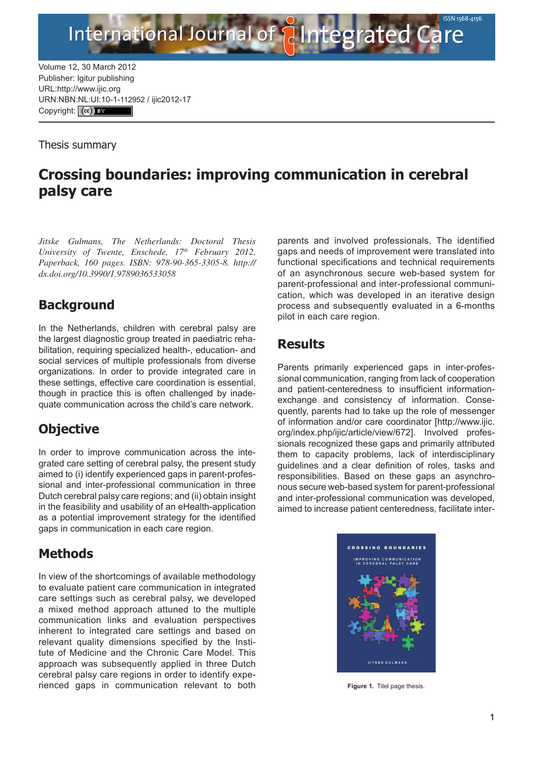Volume 12, 30 March 2012 Publisher: Igitur publishing URL[:http://www.ijic.org](http://www.ijic.org) URN:NBN[:NL:UI:10-1-1129](http://creativecommons.org/licenses/by/3.0/)52 / ijic2012-17 Copyright: (cc) Ex

International Journal of

Thesis summary

# **Crossing boundaries: improving communication in cerebral palsy care**

*Jitske Gulmans, The Netherlands: Doctoral Thesis University of Twente, Enschede, 17th February 2012, Paperback, 160 pages. ISBN: 978-90-365-3305-8. http:// dx.doi.org/10.3990/1.9789036533058*

## **Background**

In the Netherlands, children with cerebral palsy are the largest diagnostic group treated in paediatric rehabilitation, requiring specialized health-, education- and social services of multiple professionals from diverse organizations. In order to provide integrated care in these settings, effective care coordination is essential, though in practice this is often challenged by inadequate communication across the child's care network.

## **Objective**

In order to improve communication across the integrated care setting of cerebral palsy, the present study aimed to (i) identify experienced gaps in parent-professional and inter-professional communication in three Dutch cerebral palsy care regions; and (ii) obtain insight in the feasibility and usability of an eHealth-application as a potential improvement strategy for the identified gaps in communication in each care region.

## **Methods**

In view of the shortcomings of available methodology to evaluate patient care communication in integrated care settings such as cerebral palsy, we developed a mixed method approach attuned to the multiple communication links and evaluation perspectives inherent to integrated care settings and based on relevant quality dimensions specified by the Institute of Medicine and the Chronic Care Model. This approach was subsequently applied in three Dutch cerebral palsy care regions in order to identify experienced gaps in communication relevant to both parents and involved professionals. The identified gaps and needs of improvement were translated into functional specifications and technical requirements of an asynchronous secure web-based system for parent-professional and inter-professional communication, which was developed in an iterative design process and subsequently evaluated in a 6-months pilot in each care region.

ntegrated Care

### **Results**

Parents primarily experienced gaps in inter-professional communication, ranging from lack of cooperation and patient-centeredness to insufficient informationexchange and consistency of information. Consequently, parents had to take up the role of messenger of information and/or care coordinator [\[http://www.ijic.](http://www.ijic.org/index.php/ijic/article/view/672) [org/index.php/ijic/article/view/672\]](http://www.ijic.org/index.php/ijic/article/view/672). Involved professionals recognized these gaps and primarily attributed them to capacity problems, lack of interdisciplinary guidelines and a clear definition of roles, tasks and responsibilities. Based on these gaps an asynchronous secure web-based system for parent-professional and inter-professional communication was developed, aimed to increase patient centeredness, facilitate inter-



**Figure 1.** Titel page thesis.